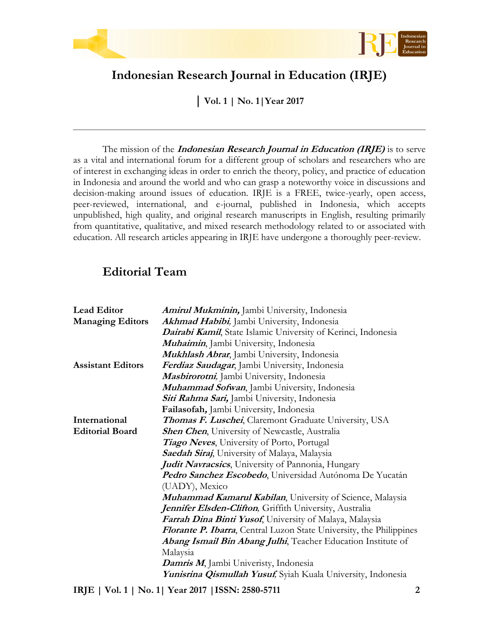



## **Indonesian Research Journal in Education (IRJE)**

**| Vol. 1 | No. 1|Year 2017**

The mission of the **Indonesian Research Journal in Education (IRJE)** is to serve as a vital and international forum for a different group of scholars and researchers who are of interest in exchanging ideas in order to enrich the theory, policy, and practice of education in Indonesia and around the world and who can grasp a noteworthy voice in discussions and decision-making around issues of education. IRJE is a FREE, twice-yearly, open access, peer-reviewed, international, and e-journal, published in Indonesia, which accepts unpublished, high quality, and original research manuscripts in English, resulting primarily from quantitative, qualitative, and mixed research methodology related to or associated with education. All research articles appearing in IRJE have undergone a thoroughly peer-review.

## **Editorial Team**

| <b>Lead Editor</b>       | Amirul Mukminin, Jambi University, Indonesia                               |
|--------------------------|----------------------------------------------------------------------------|
| <b>Managing Editors</b>  | Akhmad Habibi, Jambi University, Indonesia                                 |
|                          | Dairabi Kamil, State Islamic University of Kerinci, Indonesia              |
|                          | Muhaimin, Jambi University, Indonesia                                      |
|                          | Mukhlash Abrar, Jambi University, Indonesia                                |
| <b>Assistant Editors</b> | Ferdiaz Saudagar, Jambi University, Indonesia                              |
|                          | Mashirorotni, Jambi University, Indonesia                                  |
|                          | Muhammad Sofwan, Jambi University, Indonesia                               |
|                          | Siti Rahma Sari, Jambi University, Indonesia                               |
|                          | Failasofah, Jambi University, Indonesia                                    |
| International            | <b>Thomas F. Luschei, Claremont Graduate University, USA</b>               |
| <b>Editorial Board</b>   | <b>Shen Chen,</b> University of Newcastle, Australia                       |
|                          | Tiago Neves, University of Porto, Portugal                                 |
|                          | Saedah Siraj, University of Malaya, Malaysia                               |
|                          | <b>Judit Navracsics</b> , University of Pannonia, Hungary                  |
|                          | Pedro Sanchez Escobedo, Universidad Autónoma De Yucatán                    |
|                          | (UADY), Mexico                                                             |
|                          | <b>Muhammad Kamarul Kabilan</b> , University of Science, Malaysia          |
|                          | Jennifer Elsden-Clifton, Griffith University, Australia                    |
|                          | Farrah Dina Binti Yusof, University of Malaya, Malaysia                    |
|                          | <b>Florante P. Ibarra, Central Luzon State University, the Philippines</b> |
|                          | Abang Ismail Bin Abang Julhi, Teacher Education Institute of               |
|                          | Malaysia                                                                   |
|                          | Damris M, Jambi Univeristy, Indonesia                                      |
|                          | Yunisrina Qismullah Yusuf, Syiah Kuala University, Indonesia               |

**IRJE | Vol. 1 | No. 1| Year 2017 |ISSN: 2580-5711 2**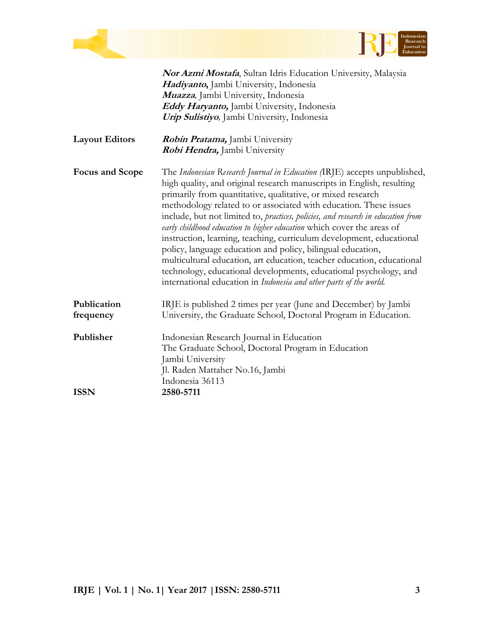

|                       | <b>Nor Azmi Mostafa</b> , Sultan Idris Education University, Malaysia                                                                                                                                                                                                                                                                                                                                                                                                                                                                                                                                                                                                                                                                                                                                           |
|-----------------------|-----------------------------------------------------------------------------------------------------------------------------------------------------------------------------------------------------------------------------------------------------------------------------------------------------------------------------------------------------------------------------------------------------------------------------------------------------------------------------------------------------------------------------------------------------------------------------------------------------------------------------------------------------------------------------------------------------------------------------------------------------------------------------------------------------------------|
|                       | Hadiyanto, Jambi University, Indonesia                                                                                                                                                                                                                                                                                                                                                                                                                                                                                                                                                                                                                                                                                                                                                                          |
|                       | Muazza, Jambi University, Indonesia                                                                                                                                                                                                                                                                                                                                                                                                                                                                                                                                                                                                                                                                                                                                                                             |
|                       | Eddy Haryanto, Jambi University, Indonesia                                                                                                                                                                                                                                                                                                                                                                                                                                                                                                                                                                                                                                                                                                                                                                      |
|                       | Urip Sulistiyo, Jambi University, Indonesia                                                                                                                                                                                                                                                                                                                                                                                                                                                                                                                                                                                                                                                                                                                                                                     |
| <b>Layout Editors</b> | <i>Robin Pratama</i> , Jambi University                                                                                                                                                                                                                                                                                                                                                                                                                                                                                                                                                                                                                                                                                                                                                                         |
|                       | Robi Hendra, Jambi University                                                                                                                                                                                                                                                                                                                                                                                                                                                                                                                                                                                                                                                                                                                                                                                   |
| Focus and Scope       | The Indonesian Research Journal in Education (IRJE) accepts unpublished,<br>high quality, and original research manuscripts in English, resulting<br>primarily from quantitative, qualitative, or mixed research<br>methodology related to or associated with education. These issues<br>include, but not limited to, practices, policies, and research in education from<br>early childhood education to higher education which cover the areas of<br>instruction, learning, teaching, curriculum development, educational<br>policy, language education and policy, bilingual education,<br>multicultural education, art education, teacher education, educational<br>technology, educational developments, educational psychology, and<br>international education in Indonesia and other parts of the world. |
| Publication           | IRJE is published 2 times per year (June and December) by Jambi                                                                                                                                                                                                                                                                                                                                                                                                                                                                                                                                                                                                                                                                                                                                                 |
| frequency             | University, the Graduate School, Doctoral Program in Education.                                                                                                                                                                                                                                                                                                                                                                                                                                                                                                                                                                                                                                                                                                                                                 |
| Publisher             | Indonesian Research Journal in Education                                                                                                                                                                                                                                                                                                                                                                                                                                                                                                                                                                                                                                                                                                                                                                        |
|                       | The Graduate School, Doctoral Program in Education                                                                                                                                                                                                                                                                                                                                                                                                                                                                                                                                                                                                                                                                                                                                                              |
|                       | Jambi University                                                                                                                                                                                                                                                                                                                                                                                                                                                                                                                                                                                                                                                                                                                                                                                                |
|                       | Jl. Raden Mattaher No.16, Jambi                                                                                                                                                                                                                                                                                                                                                                                                                                                                                                                                                                                                                                                                                                                                                                                 |
|                       | Indonesia 36113                                                                                                                                                                                                                                                                                                                                                                                                                                                                                                                                                                                                                                                                                                                                                                                                 |
| <b>ISSN</b>           | 2580-5711                                                                                                                                                                                                                                                                                                                                                                                                                                                                                                                                                                                                                                                                                                                                                                                                       |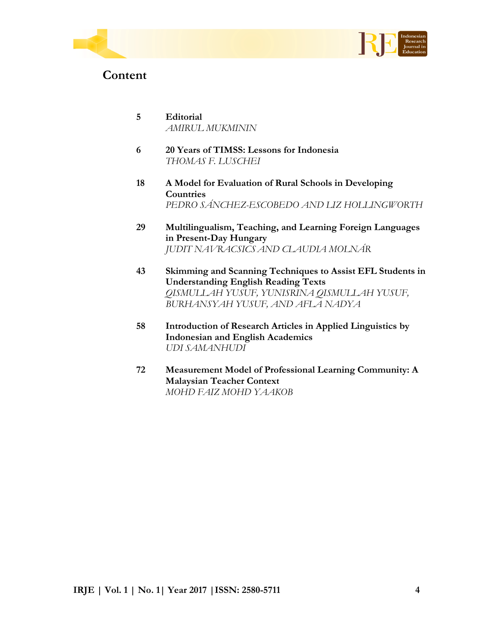



## **Content**

- **5 Editorial** *AMIRUL MUKMININ*
- **6 20 Years of TIMSS: Lessons for Indonesia** *THOMAS F. LUSCHEI*
- **18 A Model for Evaluation of Rural Schools in Developing Countries** *PEDRO SÁNCHEZ-ESCOBEDO AND LIZ HOLLINGWORTH*
- **29 Multilingualism, Teaching, and Learning Foreign Languages in Present-Day Hungary** *JUDIT NAVRACSICS AND CLAUDIA MOLNÁR*
- **43 Skimming and Scanning Techniques to Assist EFL Students in Understanding English Reading Texts** *QISMULLAH YUSUF, YUNISRINA QISMULLAH YUSUF, BURHANSYAH YUSUF, AND AFLA NADYA*
- **58 Introduction of Research Articles in Applied Linguistics by Indonesian and English Academics** *UDI SAMANHUDI*
- **72 Measurement Model of Professional Learning Community: A Malaysian Teacher Context** *MOHD FAIZ MOHD YAAKOB*